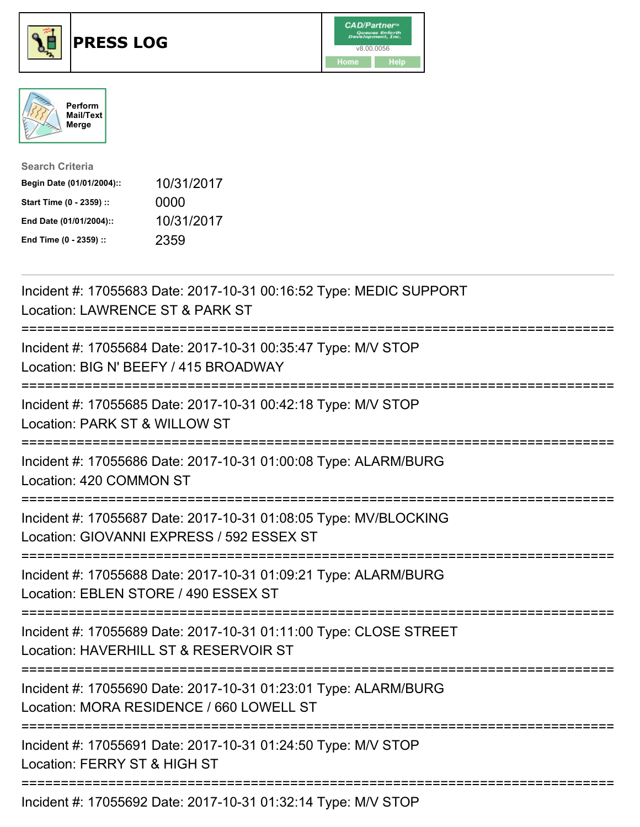





| <b>Search Criteria</b>    |            |
|---------------------------|------------|
| Begin Date (01/01/2004):: | 10/31/2017 |
| Start Time (0 - 2359) ::  | 0000       |
| End Date (01/01/2004)::   | 10/31/2017 |
| End Time (0 - 2359) ::    | 2359       |

| Incident #: 17055683 Date: 2017-10-31 00:16:52 Type: MEDIC SUPPORT<br>Location: LAWRENCE ST & PARK ST                                                             |
|-------------------------------------------------------------------------------------------------------------------------------------------------------------------|
| Incident #: 17055684 Date: 2017-10-31 00:35:47 Type: M/V STOP<br>Location: BIG N' BEEFY / 415 BROADWAY                                                            |
| Incident #: 17055685 Date: 2017-10-31 00:42:18 Type: M/V STOP<br>Location: PARK ST & WILLOW ST<br>=========<br>==========================<br>:=================== |
| Incident #: 17055686 Date: 2017-10-31 01:00:08 Type: ALARM/BURG<br>Location: 420 COMMON ST                                                                        |
| Incident #: 17055687 Date: 2017-10-31 01:08:05 Type: MV/BLOCKING<br>Location: GIOVANNI EXPRESS / 592 ESSEX ST                                                     |
| Incident #: 17055688 Date: 2017-10-31 01:09:21 Type: ALARM/BURG<br>Location: EBLEN STORE / 490 ESSEX ST<br>===========================                            |
| Incident #: 17055689 Date: 2017-10-31 01:11:00 Type: CLOSE STREET<br>Location: HAVERHILL ST & RESERVOIR ST<br>-----------------------------                       |
| Incident #: 17055690 Date: 2017-10-31 01:23:01 Type: ALARM/BURG<br>Location: MORA RESIDENCE / 660 LOWELL ST                                                       |
| ;===============================<br>Incident #: 17055691 Date: 2017-10-31 01:24:50 Type: M/V STOP<br>Location: FERRY ST & HIGH ST                                 |
| Incident #: 17055692 Date: 2017-10-31 01:32:14 Type: M/V STOP                                                                                                     |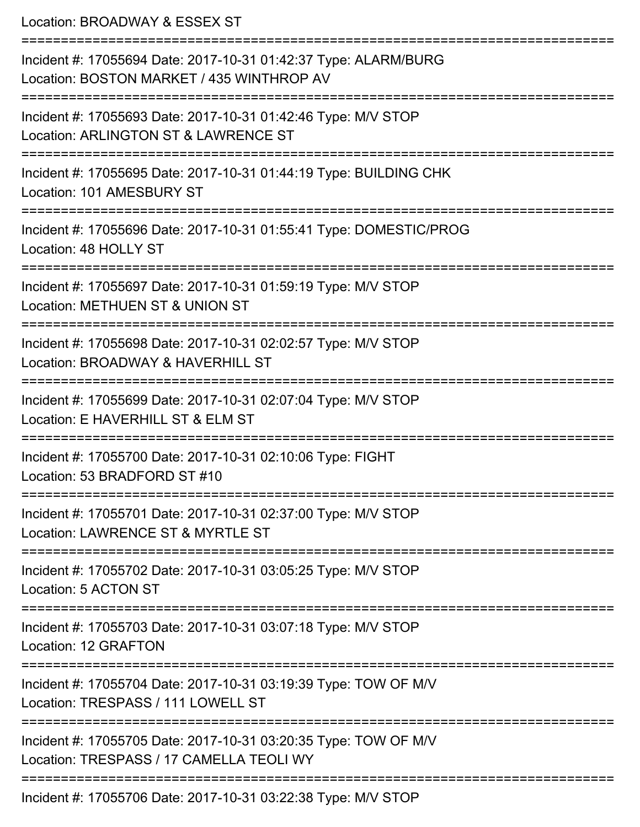Location: BROADWAY & ESSEX ST =========================================================================== Incident #: 17055694 Date: 2017-10-31 01:42:37 Type: ALARM/BURG Location: BOSTON MARKET / 435 WINTHROP AV =========================================================================== Incident #: 17055693 Date: 2017-10-31 01:42:46 Type: M/V STOP Location: ARLINGTON ST & LAWRENCE ST =========================================================================== Incident #: 17055695 Date: 2017-10-31 01:44:19 Type: BUILDING CHK Location: 101 AMESBURY ST =========================================================================== Incident #: 17055696 Date: 2017-10-31 01:55:41 Type: DOMESTIC/PROG Location: 48 HOLLY ST =========================================================================== Incident #: 17055697 Date: 2017-10-31 01:59:19 Type: M/V STOP Location: METHUEN ST & UNION ST =========================================================================== Incident #: 17055698 Date: 2017-10-31 02:02:57 Type: M/V STOP Location: BROADWAY & HAVERHILL ST =========================================================================== Incident #: 17055699 Date: 2017-10-31 02:07:04 Type: M/V STOP Location: E HAVERHILL ST & FLM ST =========================================================================== Incident #: 17055700 Date: 2017-10-31 02:10:06 Type: FIGHT Location: 53 BRADFORD ST #10 =========================================================================== Incident #: 17055701 Date: 2017-10-31 02:37:00 Type: M/V STOP Location: LAWRENCE ST & MYRTLE ST =========================================================================== Incident #: 17055702 Date: 2017-10-31 03:05:25 Type: M/V STOP Location: 5 ACTON ST =========================================================================== Incident #: 17055703 Date: 2017-10-31 03:07:18 Type: M/V STOP Location: 12 GRAFTON =========================================================================== Incident #: 17055704 Date: 2017-10-31 03:19:39 Type: TOW OF M/V Location: TRESPASS / 111 LOWELL ST =========================================================================== Incident #: 17055705 Date: 2017-10-31 03:20:35 Type: TOW OF M/V Location: TRESPASS / 17 CAMELLA TEOLI WY ===========================================================================

Incident #: 17055706 Date: 2017-10-31 03:22:38 Type: M/V STOP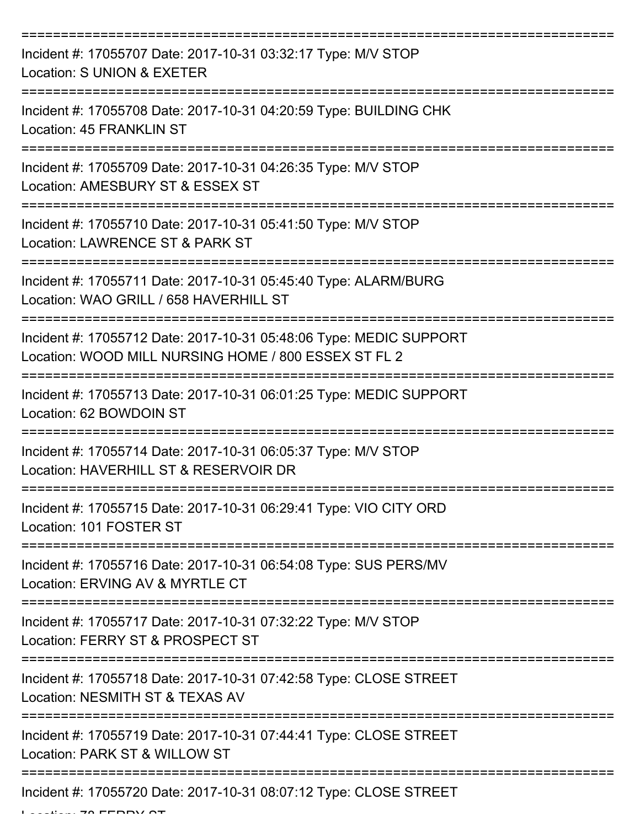| Incident #: 17055707 Date: 2017-10-31 03:32:17 Type: M/V STOP<br>Location: S UNION & EXETER                                |
|----------------------------------------------------------------------------------------------------------------------------|
| Incident #: 17055708 Date: 2017-10-31 04:20:59 Type: BUILDING CHK<br>Location: 45 FRANKLIN ST                              |
| Incident #: 17055709 Date: 2017-10-31 04:26:35 Type: M/V STOP<br>Location: AMESBURY ST & ESSEX ST                          |
| Incident #: 17055710 Date: 2017-10-31 05:41:50 Type: M/V STOP<br>Location: LAWRENCE ST & PARK ST                           |
| Incident #: 17055711 Date: 2017-10-31 05:45:40 Type: ALARM/BURG<br>Location: WAO GRILL / 658 HAVERHILL ST                  |
| Incident #: 17055712 Date: 2017-10-31 05:48:06 Type: MEDIC SUPPORT<br>Location: WOOD MILL NURSING HOME / 800 ESSEX ST FL 2 |
| Incident #: 17055713 Date: 2017-10-31 06:01:25 Type: MEDIC SUPPORT<br>Location: 62 BOWDOIN ST                              |
| Incident #: 17055714 Date: 2017-10-31 06:05:37 Type: M/V STOP<br>Location: HAVERHILL ST & RESERVOIR DR                     |
| Incident #: 17055715 Date: 2017-10-31 06:29:41 Type: VIO CITY ORD<br>Location: 101 FOSTER ST                               |
| Incident #: 17055716 Date: 2017-10-31 06:54:08 Type: SUS PERS/MV<br>Location: ERVING AV & MYRTLE CT                        |
| Incident #: 17055717 Date: 2017-10-31 07:32:22 Type: M/V STOP<br>Location: FERRY ST & PROSPECT ST                          |
| Incident #: 17055718 Date: 2017-10-31 07:42:58 Type: CLOSE STREET<br>Location: NESMITH ST & TEXAS AV                       |
| Incident #: 17055719 Date: 2017-10-31 07:44:41 Type: CLOSE STREET<br>Location: PARK ST & WILLOW ST                         |
| Incident #: 17055720 Date: 2017-10-31 08:07:12 Type: CLOSE STREET                                                          |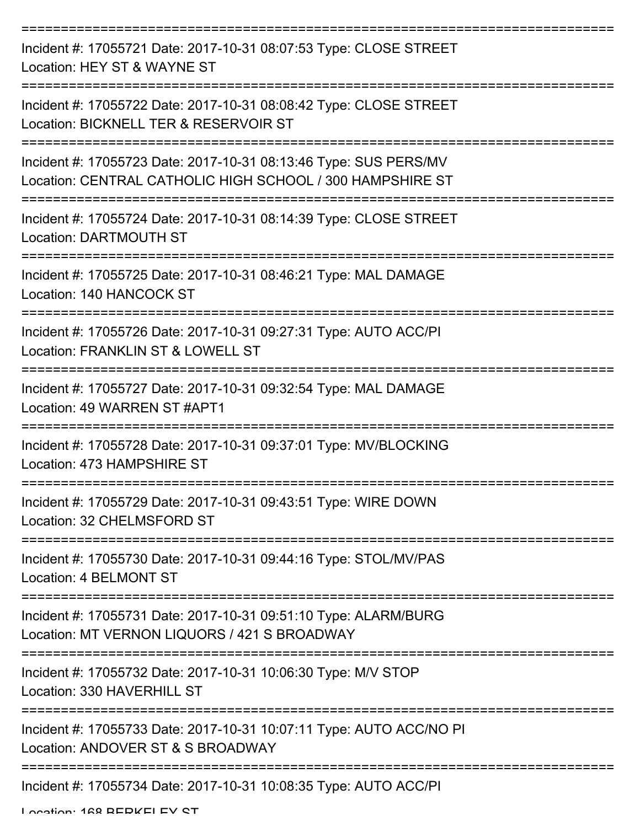| Incident #: 17055721 Date: 2017-10-31 08:07:53 Type: CLOSE STREET<br>Location: HEY ST & WAYNE ST                              |
|-------------------------------------------------------------------------------------------------------------------------------|
| Incident #: 17055722 Date: 2017-10-31 08:08:42 Type: CLOSE STREET<br>Location: BICKNELL TER & RESERVOIR ST                    |
| Incident #: 17055723 Date: 2017-10-31 08:13:46 Type: SUS PERS/MV<br>Location: CENTRAL CATHOLIC HIGH SCHOOL / 300 HAMPSHIRE ST |
| Incident #: 17055724 Date: 2017-10-31 08:14:39 Type: CLOSE STREET<br><b>Location: DARTMOUTH ST</b>                            |
| Incident #: 17055725 Date: 2017-10-31 08:46:21 Type: MAL DAMAGE<br>Location: 140 HANCOCK ST                                   |
| Incident #: 17055726 Date: 2017-10-31 09:27:31 Type: AUTO ACC/PI<br>Location: FRANKLIN ST & LOWELL ST                         |
| Incident #: 17055727 Date: 2017-10-31 09:32:54 Type: MAL DAMAGE<br>Location: 49 WARREN ST #APT1                               |
| Incident #: 17055728 Date: 2017-10-31 09:37:01 Type: MV/BLOCKING<br>Location: 473 HAMPSHIRE ST                                |
| Incident #: 17055729 Date: 2017-10-31 09:43:51 Type: WIRE DOWN<br>Location: 32 CHELMSFORD ST                                  |
| Incident #: 17055730 Date: 2017-10-31 09:44:16 Type: STOL/MV/PAS<br>Location: 4 BELMONT ST                                    |
| Incident #: 17055731 Date: 2017-10-31 09:51:10 Type: ALARM/BURG<br>Location: MT VERNON LIQUORS / 421 S BROADWAY               |
| Incident #: 17055732 Date: 2017-10-31 10:06:30 Type: M/V STOP<br>Location: 330 HAVERHILL ST                                   |
| Incident #: 17055733 Date: 2017-10-31 10:07:11 Type: AUTO ACC/NO PI<br>Location: ANDOVER ST & S BROADWAY                      |
| Incident #: 17055734 Date: 2017-10-31 10:08:35 Type: AUTO ACC/PI                                                              |

Location: 168 BERKELEY ST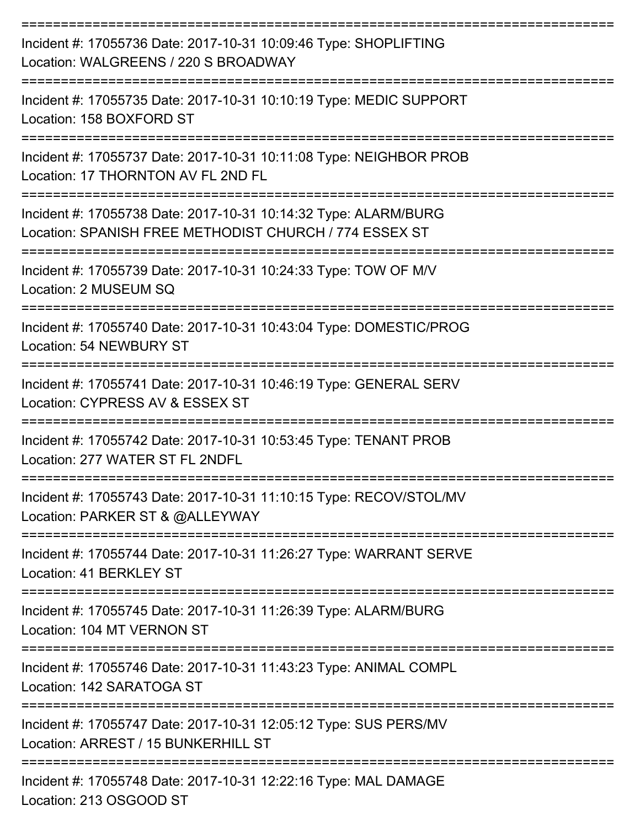| Incident #: 17055736 Date: 2017-10-31 10:09:46 Type: SHOPLIFTING<br>Location: WALGREENS / 220 S BROADWAY                  |
|---------------------------------------------------------------------------------------------------------------------------|
| Incident #: 17055735 Date: 2017-10-31 10:10:19 Type: MEDIC SUPPORT<br>Location: 158 BOXFORD ST                            |
| Incident #: 17055737 Date: 2017-10-31 10:11:08 Type: NEIGHBOR PROB<br>Location: 17 THORNTON AV FL 2ND FL                  |
| Incident #: 17055738 Date: 2017-10-31 10:14:32 Type: ALARM/BURG<br>Location: SPANISH FREE METHODIST CHURCH / 774 ESSEX ST |
| Incident #: 17055739 Date: 2017-10-31 10:24:33 Type: TOW OF M/V<br>Location: 2 MUSEUM SQ                                  |
| Incident #: 17055740 Date: 2017-10-31 10:43:04 Type: DOMESTIC/PROG<br>Location: 54 NEWBURY ST                             |
| Incident #: 17055741 Date: 2017-10-31 10:46:19 Type: GENERAL SERV<br>Location: CYPRESS AV & ESSEX ST                      |
| Incident #: 17055742 Date: 2017-10-31 10:53:45 Type: TENANT PROB<br>Location: 277 WATER ST FL 2NDFL                       |
| Incident #: 17055743 Date: 2017-10-31 11:10:15 Type: RECOV/STOL/MV<br>Location: PARKER ST & @ALLEYWAY                     |
| Incident #: 17055744 Date: 2017-10-31 11:26:27 Type: WARRANT SERVE<br>Location: 41 BERKLEY ST                             |
| Incident #: 17055745 Date: 2017-10-31 11:26:39 Type: ALARM/BURG<br>Location: 104 MT VERNON ST                             |
| Incident #: 17055746 Date: 2017-10-31 11:43:23 Type: ANIMAL COMPL<br>Location: 142 SARATOGA ST                            |
| Incident #: 17055747 Date: 2017-10-31 12:05:12 Type: SUS PERS/MV<br>Location: ARREST / 15 BUNKERHILL ST                   |
| Incident #: 17055748 Date: 2017-10-31 12:22:16 Type: MAL DAMAGE                                                           |

Location: 213 OSGOOD ST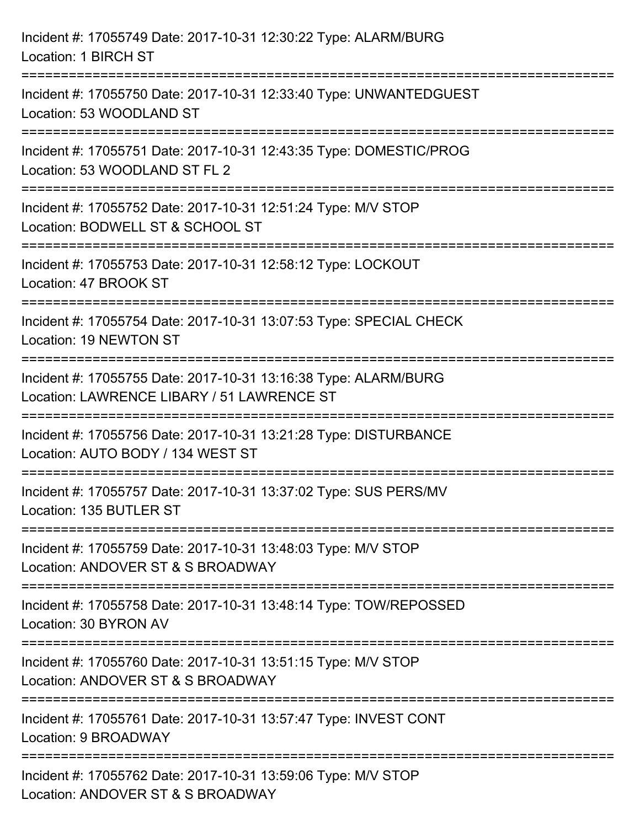| Incident #: 17055749 Date: 2017-10-31 12:30:22 Type: ALARM/BURG<br>Location: 1 BIRCH ST                                            |
|------------------------------------------------------------------------------------------------------------------------------------|
| Incident #: 17055750 Date: 2017-10-31 12:33:40 Type: UNWANTEDGUEST<br>Location: 53 WOODLAND ST                                     |
| Incident #: 17055751 Date: 2017-10-31 12:43:35 Type: DOMESTIC/PROG<br>Location: 53 WOODLAND ST FL 2<br>=========================== |
| Incident #: 17055752 Date: 2017-10-31 12:51:24 Type: M/V STOP<br>Location: BODWELL ST & SCHOOL ST                                  |
| Incident #: 17055753 Date: 2017-10-31 12:58:12 Type: LOCKOUT<br>Location: 47 BROOK ST                                              |
| Incident #: 17055754 Date: 2017-10-31 13:07:53 Type: SPECIAL CHECK<br>Location: 19 NEWTON ST                                       |
| Incident #: 17055755 Date: 2017-10-31 13:16:38 Type: ALARM/BURG<br>Location: LAWRENCE LIBARY / 51 LAWRENCE ST                      |
| Incident #: 17055756 Date: 2017-10-31 13:21:28 Type: DISTURBANCE<br>Location: AUTO BODY / 134 WEST ST                              |
| Incident #: 17055757 Date: 2017-10-31 13:37:02 Type: SUS PERS/MV<br>Location: 135 BUTLER ST                                        |
| Incident #: 17055759 Date: 2017-10-31 13:48:03 Type: M/V STOP<br>Location: ANDOVER ST & S BROADWAY                                 |
| Incident #: 17055758 Date: 2017-10-31 13:48:14 Type: TOW/REPOSSED<br>Location: 30 BYRON AV                                         |
| Incident #: 17055760 Date: 2017-10-31 13:51:15 Type: M/V STOP<br>Location: ANDOVER ST & S BROADWAY                                 |
| Incident #: 17055761 Date: 2017-10-31 13:57:47 Type: INVEST CONT<br>Location: 9 BROADWAY                                           |
| Incident #: 17055762 Date: 2017-10-31 13:59:06 Type: M/V STOP<br>Location: ANDOVER ST & S BROADWAY                                 |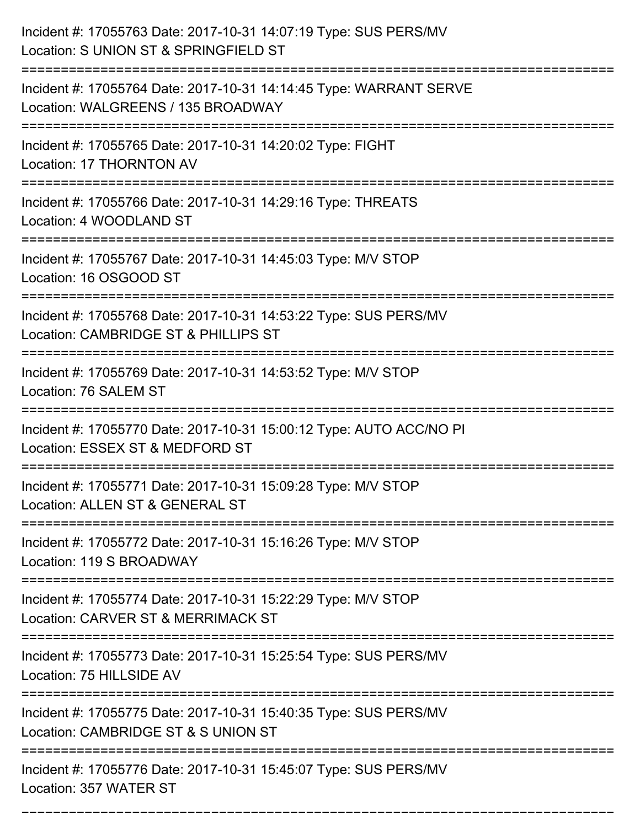| Incident #: 17055763 Date: 2017-10-31 14:07:19 Type: SUS PERS/MV<br>Location: S UNION ST & SPRINGFIELD ST |
|-----------------------------------------------------------------------------------------------------------|
| Incident #: 17055764 Date: 2017-10-31 14:14:45 Type: WARRANT SERVE<br>Location: WALGREENS / 135 BROADWAY  |
| Incident #: 17055765 Date: 2017-10-31 14:20:02 Type: FIGHT<br>Location: 17 THORNTON AV                    |
| Incident #: 17055766 Date: 2017-10-31 14:29:16 Type: THREATS<br>Location: 4 WOODLAND ST                   |
| Incident #: 17055767 Date: 2017-10-31 14:45:03 Type: M/V STOP<br>Location: 16 OSGOOD ST                   |
| Incident #: 17055768 Date: 2017-10-31 14:53:22 Type: SUS PERS/MV<br>Location: CAMBRIDGE ST & PHILLIPS ST  |
| Incident #: 17055769 Date: 2017-10-31 14:53:52 Type: M/V STOP<br>Location: 76 SALEM ST                    |
| Incident #: 17055770 Date: 2017-10-31 15:00:12 Type: AUTO ACC/NO PI<br>Location: ESSEX ST & MEDFORD ST    |
| Incident #: 17055771 Date: 2017-10-31 15:09:28 Type: M/V STOP<br>Location: ALLEN ST & GENERAL ST          |
| Incident #: 17055772 Date: 2017-10-31 15:16:26 Type: M/V STOP<br>Location: 119 S BROADWAY                 |
| Incident #: 17055774 Date: 2017-10-31 15:22:29 Type: M/V STOP<br>Location: CARVER ST & MERRIMACK ST       |
| Incident #: 17055773 Date: 2017-10-31 15:25:54 Type: SUS PERS/MV<br>Location: 75 HILLSIDE AV              |
| Incident #: 17055775 Date: 2017-10-31 15:40:35 Type: SUS PERS/MV<br>Location: CAMBRIDGE ST & S UNION ST   |
| Incident #: 17055776 Date: 2017-10-31 15:45:07 Type: SUS PERS/MV<br>Location: 357 WATER ST                |

===========================================================================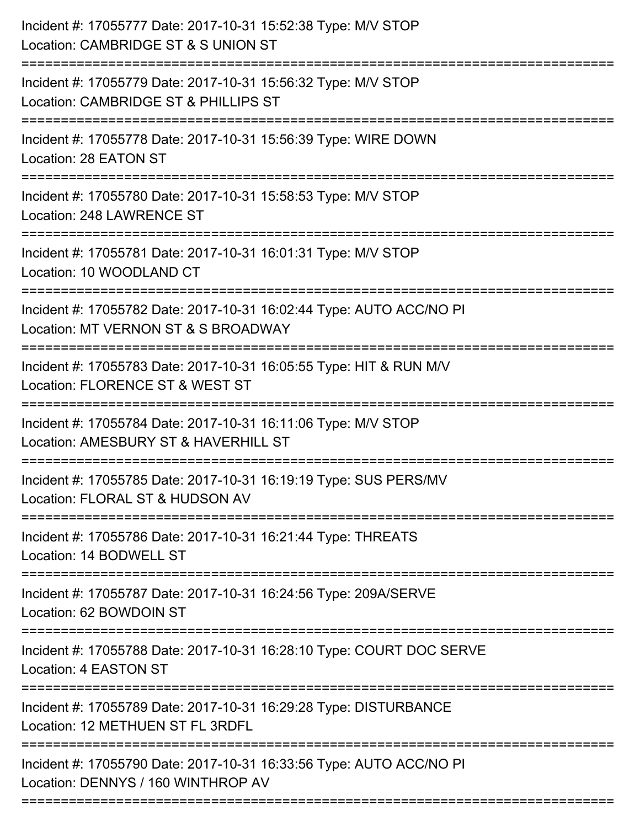| Incident #: 17055777 Date: 2017-10-31 15:52:38 Type: M/V STOP<br>Location: CAMBRIDGE ST & S UNION ST<br>=============================== |
|-----------------------------------------------------------------------------------------------------------------------------------------|
| Incident #: 17055779 Date: 2017-10-31 15:56:32 Type: M/V STOP<br>Location: CAMBRIDGE ST & PHILLIPS ST                                   |
| Incident #: 17055778 Date: 2017-10-31 15:56:39 Type: WIRE DOWN<br>Location: 28 EATON ST                                                 |
| Incident #: 17055780 Date: 2017-10-31 15:58:53 Type: M/V STOP<br>Location: 248 LAWRENCE ST                                              |
| Incident #: 17055781 Date: 2017-10-31 16:01:31 Type: M/V STOP<br>Location: 10 WOODLAND CT                                               |
| Incident #: 17055782 Date: 2017-10-31 16:02:44 Type: AUTO ACC/NO PI<br>Location: MT VERNON ST & S BROADWAY                              |
| Incident #: 17055783 Date: 2017-10-31 16:05:55 Type: HIT & RUN M/V<br>Location: FLORENCE ST & WEST ST                                   |
| Incident #: 17055784 Date: 2017-10-31 16:11:06 Type: M/V STOP<br>Location: AMESBURY ST & HAVERHILL ST                                   |
| Incident #: 17055785 Date: 2017-10-31 16:19:19 Type: SUS PERS/MV<br>Location: FLORAL ST & HUDSON AV                                     |
| Incident #: 17055786 Date: 2017-10-31 16:21:44 Type: THREATS<br>Location: 14 BODWELL ST                                                 |
| Incident #: 17055787 Date: 2017-10-31 16:24:56 Type: 209A/SERVE<br>Location: 62 BOWDOIN ST                                              |
| Incident #: 17055788 Date: 2017-10-31 16:28:10 Type: COURT DOC SERVE<br>Location: 4 EASTON ST                                           |
| Incident #: 17055789 Date: 2017-10-31 16:29:28 Type: DISTURBANCE<br>Location: 12 METHUEN ST FL 3RDFL                                    |
| Incident #: 17055790 Date: 2017-10-31 16:33:56 Type: AUTO ACC/NO PI<br>Location: DENNYS / 160 WINTHROP AV                               |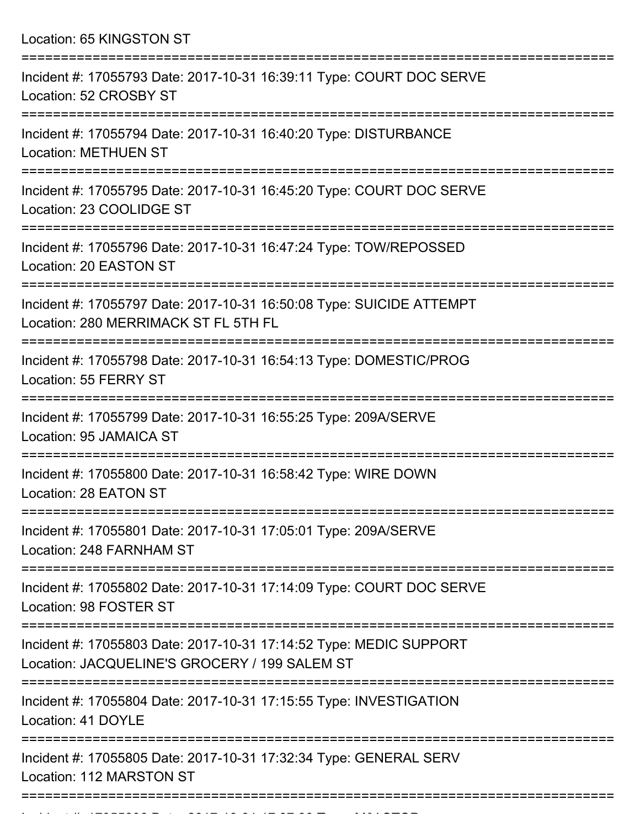Location: 65 KINGSTON ST

| Incident #: 17055793 Date: 2017-10-31 16:39:11 Type: COURT DOC SERVE<br>Location: 52 CROSBY ST                         |
|------------------------------------------------------------------------------------------------------------------------|
| Incident #: 17055794 Date: 2017-10-31 16:40:20 Type: DISTURBANCE<br><b>Location: METHUEN ST</b><br>------------------- |
| Incident #: 17055795 Date: 2017-10-31 16:45:20 Type: COURT DOC SERVE<br>Location: 23 COOLIDGE ST                       |
| Incident #: 17055796 Date: 2017-10-31 16:47:24 Type: TOW/REPOSSED<br>Location: 20 EASTON ST                            |
| Incident #: 17055797 Date: 2017-10-31 16:50:08 Type: SUICIDE ATTEMPT<br>Location: 280 MERRIMACK ST FL 5TH FL           |
| Incident #: 17055798 Date: 2017-10-31 16:54:13 Type: DOMESTIC/PROG<br>Location: 55 FERRY ST                            |
| Incident #: 17055799 Date: 2017-10-31 16:55:25 Type: 209A/SERVE<br>Location: 95 JAMAICA ST                             |
| Incident #: 17055800 Date: 2017-10-31 16:58:42 Type: WIRE DOWN<br>Location: 28 EATON ST                                |
| Incident #: 17055801 Date: 2017-10-31 17:05:01 Type: 209A/SERVE<br>Location: 248 FARNHAM ST                            |
| Incident #: 17055802 Date: 2017-10-31 17:14:09 Type: COURT DOC SERVE<br>Location: 98 FOSTER ST                         |
| Incident #: 17055803 Date: 2017-10-31 17:14:52 Type: MEDIC SUPPORT<br>Location: JACQUELINE'S GROCERY / 199 SALEM ST    |
| Incident #: 17055804 Date: 2017-10-31 17:15:55 Type: INVESTIGATION<br>Location: 41 DOYLE                               |
| Incident #: 17055805 Date: 2017-10-31 17:32:34 Type: GENERAL SERV<br>Location: 112 MARSTON ST                          |
|                                                                                                                        |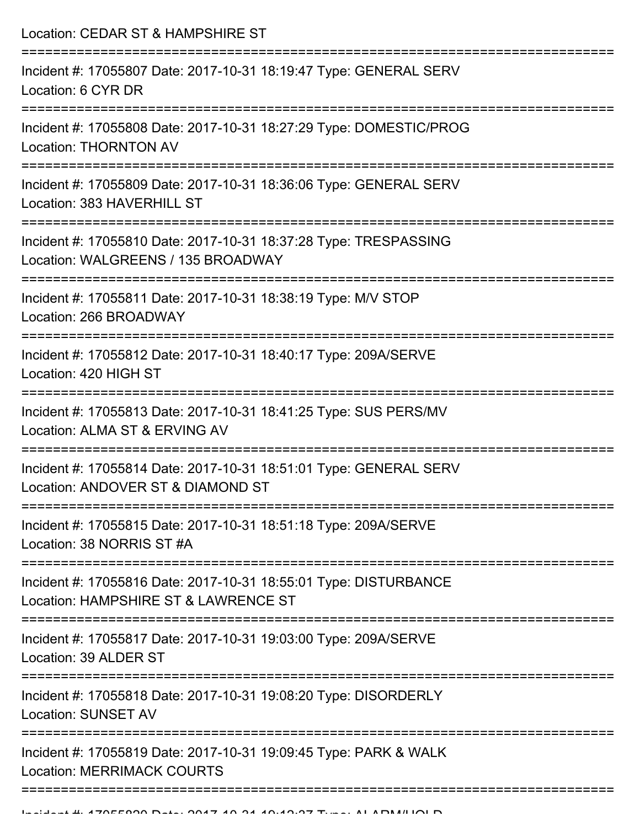Location: CEDAR ST & HAMPSHIRE ST =========================================================================== Incident #: 17055807 Date: 2017-10-31 18:19:47 Type: GENERAL SERV Location: 6 CYR DR =========================================================================== Incident #: 17055808 Date: 2017-10-31 18:27:29 Type: DOMESTIC/PROG Location: THORNTON AV =========================================================================== Incident #: 17055809 Date: 2017-10-31 18:36:06 Type: GENERAL SERV Location: 383 HAVERHILL ST =========================================================================== Incident #: 17055810 Date: 2017-10-31 18:37:28 Type: TRESPASSING Location: WALGREENS / 135 BROADWAY =========================================================================== Incident #: 17055811 Date: 2017-10-31 18:38:19 Type: M/V STOP Location: 266 BROADWAY =========================================================================== Incident #: 17055812 Date: 2017-10-31 18:40:17 Type: 209A/SERVE Location: 420 HIGH ST =========================================================================== Incident #: 17055813 Date: 2017-10-31 18:41:25 Type: SUS PERS/MV Location: ALMA ST & ERVING AV =========================================================================== Incident #: 17055814 Date: 2017-10-31 18:51:01 Type: GENERAL SERV Location: ANDOVER ST & DIAMOND ST =========================================================================== Incident #: 17055815 Date: 2017-10-31 18:51:18 Type: 209A/SERVE Location: 38 NORRIS ST #A =========================================================================== Incident #: 17055816 Date: 2017-10-31 18:55:01 Type: DISTURBANCE Location: HAMPSHIRE ST & LAWRENCE ST =========================================================================== Incident #: 17055817 Date: 2017-10-31 19:03:00 Type: 209A/SERVE Location: 39 ALDER ST =========================================================================== Incident #: 17055818 Date: 2017-10-31 19:08:20 Type: DISORDERLY Location: SUNSET AV =========================================================================== Incident #: 17055819 Date: 2017-10-31 19:09:45 Type: PARK & WALK Location: MERRIMACK COURTS

======================================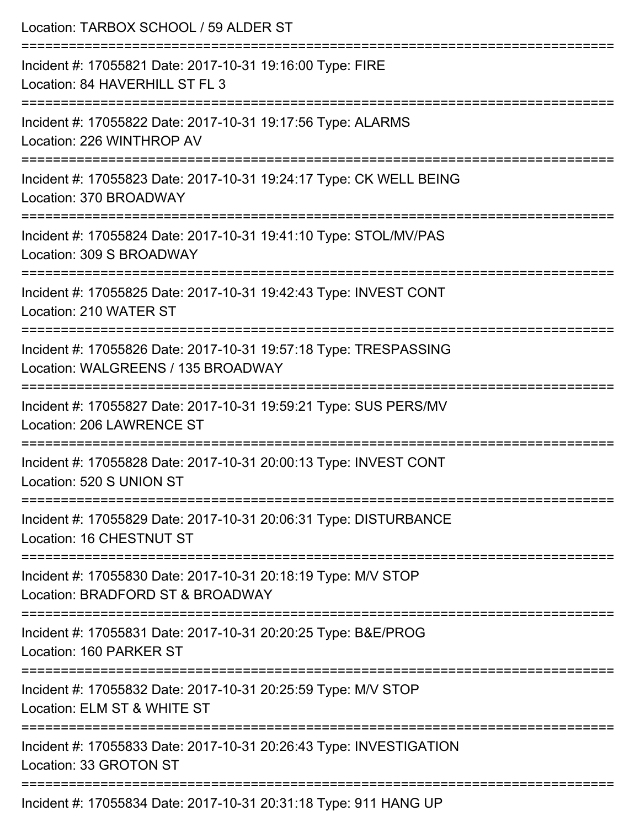| Location: TARBOX SCHOOL / 59 ALDER ST<br>======================<br>===================================== |
|----------------------------------------------------------------------------------------------------------|
| Incident #: 17055821 Date: 2017-10-31 19:16:00 Type: FIRE<br>Location: 84 HAVERHILL ST FL 3              |
| Incident #: 17055822 Date: 2017-10-31 19:17:56 Type: ALARMS<br>Location: 226 WINTHROP AV                 |
| Incident #: 17055823 Date: 2017-10-31 19:24:17 Type: CK WELL BEING<br>Location: 370 BROADWAY             |
| Incident #: 17055824 Date: 2017-10-31 19:41:10 Type: STOL/MV/PAS<br>Location: 309 S BROADWAY             |
| Incident #: 17055825 Date: 2017-10-31 19:42:43 Type: INVEST CONT<br>Location: 210 WATER ST               |
| Incident #: 17055826 Date: 2017-10-31 19:57:18 Type: TRESPASSING<br>Location: WALGREENS / 135 BROADWAY   |
| Incident #: 17055827 Date: 2017-10-31 19:59:21 Type: SUS PERS/MV<br>Location: 206 LAWRENCE ST            |
| Incident #: 17055828 Date: 2017-10-31 20:00:13 Type: INVEST CONT<br>Location: 520 S UNION ST             |
| Incident #: 17055829 Date: 2017-10-31 20:06:31 Type: DISTURBANCE<br>Location: 16 CHESTNUT ST             |
| Incident #: 17055830 Date: 2017-10-31 20:18:19 Type: M/V STOP<br>Location: BRADFORD ST & BROADWAY        |
| Incident #: 17055831 Date: 2017-10-31 20:20:25 Type: B&E/PROG<br>Location: 160 PARKER ST                 |
| Incident #: 17055832 Date: 2017-10-31 20:25:59 Type: M/V STOP<br>Location: ELM ST & WHITE ST             |
| Incident #: 17055833 Date: 2017-10-31 20:26:43 Type: INVESTIGATION<br>Location: 33 GROTON ST             |
| Incident #: 17055834 Date: 2017-10-31 20:31:18 Type: 911 HANG UP                                         |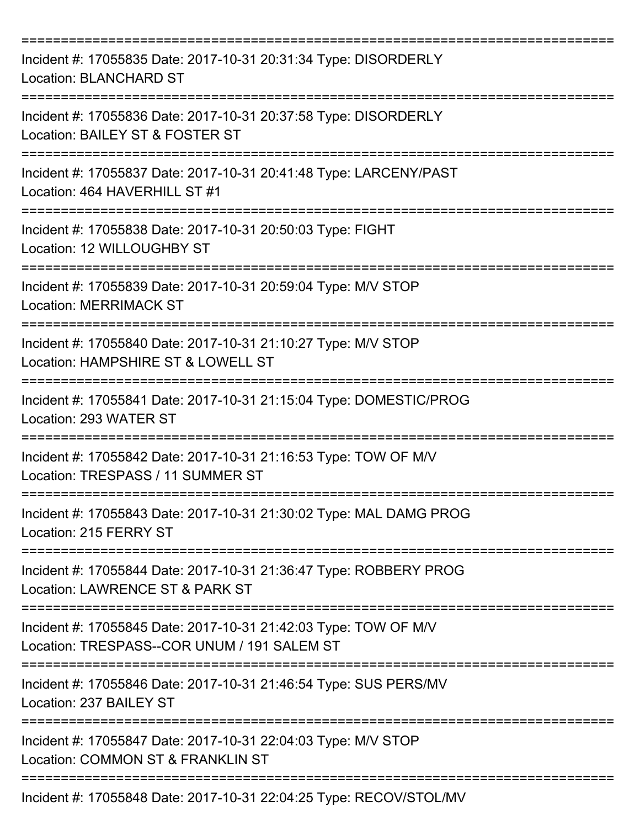| Incident #: 17055835 Date: 2017-10-31 20:31:34 Type: DISORDERLY<br><b>Location: BLANCHARD ST</b>                |
|-----------------------------------------------------------------------------------------------------------------|
| Incident #: 17055836 Date: 2017-10-31 20:37:58 Type: DISORDERLY<br>Location: BAILEY ST & FOSTER ST              |
| Incident #: 17055837 Date: 2017-10-31 20:41:48 Type: LARCENY/PAST<br>Location: 464 HAVERHILL ST #1              |
| Incident #: 17055838 Date: 2017-10-31 20:50:03 Type: FIGHT<br>Location: 12 WILLOUGHBY ST                        |
| Incident #: 17055839 Date: 2017-10-31 20:59:04 Type: M/V STOP<br><b>Location: MERRIMACK ST</b>                  |
| Incident #: 17055840 Date: 2017-10-31 21:10:27 Type: M/V STOP<br>Location: HAMPSHIRE ST & LOWELL ST             |
| Incident #: 17055841 Date: 2017-10-31 21:15:04 Type: DOMESTIC/PROG<br>Location: 293 WATER ST                    |
| Incident #: 17055842 Date: 2017-10-31 21:16:53 Type: TOW OF M/V<br>Location: TRESPASS / 11 SUMMER ST            |
| ---------------<br>Incident #: 17055843 Date: 2017-10-31 21:30:02 Type: MAL DAMG PROG<br>Location: 215 FERRY ST |
| Incident #: 17055844 Date: 2017-10-31 21:36:47 Type: ROBBERY PROG<br>Location: LAWRENCE ST & PARK ST            |
| Incident #: 17055845 Date: 2017-10-31 21:42:03 Type: TOW OF M/V<br>Location: TRESPASS--COR UNUM / 191 SALEM ST  |
| Incident #: 17055846 Date: 2017-10-31 21:46:54 Type: SUS PERS/MV<br>Location: 237 BAILEY ST                     |
| Incident #: 17055847 Date: 2017-10-31 22:04:03 Type: M/V STOP<br>Location: COMMON ST & FRANKLIN ST              |
| Incident #: 17055848 Date: 2017-10-31 22:04:25 Type: RECOV/STOL/MV                                              |